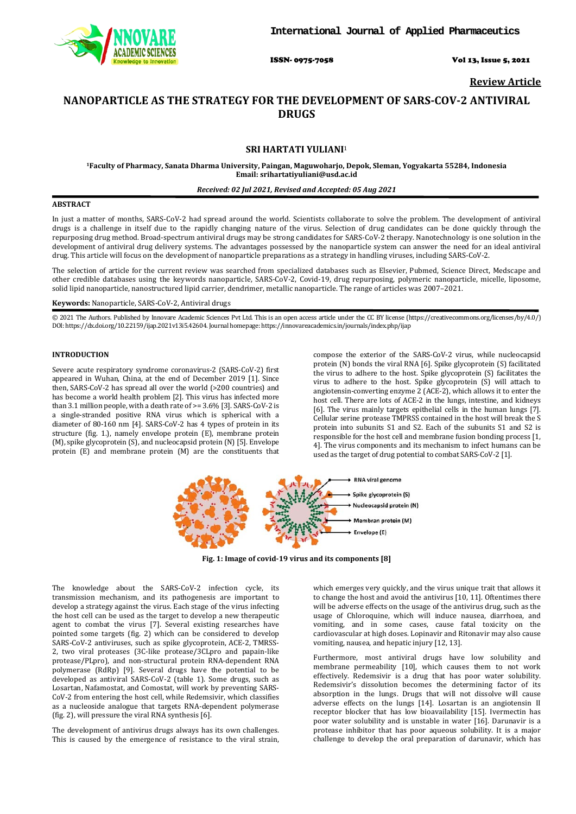

ISSN- 0975-7058 Vol 13, Issue 5, 2021

**Review Article**

# **NANOPARTICLE AS THE STRATEGY FOR THE DEVELOPMENT OF SARS-COV-2 ANTIVIRAL DRUGS**

# **SRI HARTATI YULIANI**<sup>1</sup>

**1Faculty of Pharmacy, Sanata Dharma University, Paingan, Maguwoharjo, Depok, Sleman, Yogyakarta 55284, Indonesia Email[: srihartatiyuliani@usd.ac.id](mailto:srihartatiyuliani@usd.ac.id)**

### *Received: 02 Jul 2021, Revised and Accepted: 05 Aug 2021*

# **ABSTRACT**

In just a matter of months, SARS-CoV-2 had spread around the world. Scientists collaborate to solve the problem. The development of antiviral drugs is a challenge in itself due to the rapidly changing nature of the virus. Selection of drug candidates can be done quickly through the repurposing drug method. Broad-spectrum antiviral drugs may be strong candidates for SARS-CoV-2 therapy. Nanotechnology is one solution in the development of antiviral drug delivery systems. The advantages possessed by the nanoparticle system can answer the need for an ideal antiviral drug. This article will focus on the development of nanoparticle preparations as a strategy in handling viruses, including SARS-CoV-2.

The selection of article for the current review was searched from specialized databases such as Elsevier, Pubmed, Science Direct, Medscape and other credible databases using the keywords nanoparticle, SARS-CoV-2, Covid-19, drug repurposing, polymeric nanoparticle, micelle, liposome, solid lipid nanoparticle, nanostructured lipid carrier, dendrimer, metallic nanoparticle. The range of articles was 2007–2021.

### **Keywords:** Nanoparticle, SARS-CoV-2, Antiviral drugs

© 2021 The Authors. Published by Innovare Academic Sciences Pvt Ltd. This is an open access article under the CC BY license [\(https://creativecommons.org/licenses/by/4.0/\)](https://creativecommons.org/licenses/by/4.0/) DOI: https://dx.doi.org/10.22159/ijap.2021v13i5.42604. Journal homepage[: https://innovareacademics.in/journals/index.php/ijap](https://innovareacademics.in/journals/index.php/ijap)

### **INTRODUCTION**

Severe acute respiratory syndrome coronavirus-2 (SARS-CoV-2) first appeared in Wuhan, China, at the end of December 2019 [1]. Since then, SARS-CoV-2 has spread all over the world (>200 countries) and has become a world health problem [2]. This virus has infected more than 3.1 million people, with a death rate of >= 3.6% [3]. SARS-CoV-2 is a single-stranded positive RNA virus which is spherical with a diameter of 80-160 nm [4]. SARS-CoV-2 has 4 types of protein in its structure (fig. 1.), namely envelope protein (E), membrane protein (M), spike glycoprotein (S), and nucleocapsid protein (N) [5]. Envelope protein (E) and membrane protein (M) are the constituents that

compose the exterior of the SARS-CoV-2 virus, while nucleocapsid protein (N) bonds the viral RNA [6]. Spike glycoprotein (S) facilitated the virus to adhere to the host. Spike glycoprotein (S) facilitates the virus to adhere to the host. Spike glycoprotein (S) will attach to angiotensin-converting enzyme  $2$  (ACE-2), which allows it to enter the host cell. There are lots of ACE-2 in the lungs, intestine, and kidneys [6]. The virus mainly targets epithelial cells in the human lungs [7]. Cellular serine protease TMPRSS contained in the host will break the S protein into subunits S1 and S2. Each of the subunits S1 and S2 is responsible for the host cell and membrane fusion bonding process [1, 4]. The virus components and its mechanism to infect humans can be used as the target of drug potential to combat SARS-CoV-2 [1].



**Fig. 1: Image of covid-19 virus and its components [8]**

The knowledge about the SARS-CoV-2 infection cycle, its transmission mechanism, and its pathogenesis are important to develop a strategy against the virus. Each stage of the virus infecting the host cell can be used as the target to develop a new therapeutic agent to combat the virus [7]. Several existing researches have pointed some targets (fig. 2) which can be considered to develop SARS-CoV-2 antiviruses, such as spike glycoprotein, ACE-2, TMRSS-2, two viral proteases (3C-like protease/3CLpro and papain-like protease/PLpro), and non-structural protein RNA-dependent RNA polymerase (RdRp) [9]. Several drugs have the potential to be developed as antiviral SARS-CoV-2 (table 1). Some drugs, such as Losartan, Nafamostat, and Comostat, will work by preventing SARS-CoV-2 from entering the host cell, while Redemsivir, which classifies as a nucleoside analogue that targets RNA-dependent polymerase (fig. 2), will pressure the viral RNA synthesis [6].

The development of antivirus drugs always has its own challenges. This is caused by the emergence of resistance to the viral strain,

which emerges very quickly, and the virus unique trait that allows it to change the host and avoid the antivirus [10, 11]. Oftentimes there will be adverse effects on the usage of the antivirus drug, such as the usage of Chloroquine, which will induce nausea, diarrhoea, and vomiting, and in some cases, cause fatal toxicity on the cardiovascular at high doses. Lopinavir and Ritonavir may also cause vomiting, nausea, and hepatic injury [12, 13].

Furthermore, most antiviral drugs have low solubility and membrane permeability [10], which causes them to not work effectively. Redemsivir is a drug that has poor water solubility. Redemsivir's dissolution becomes the determining factor of its absorption in the lungs. Drugs that will not dissolve will cause adverse effects on the lungs [14]. Losartan is an angiotensin II receptor blocker that has low bioavailability [15]. Ivermectin has poor water solubility and is unstable in water [16]. Darunavir is a protease inhibitor that has poor aqueous solubility. It is a major challenge to develop the oral preparation of darunavir, which has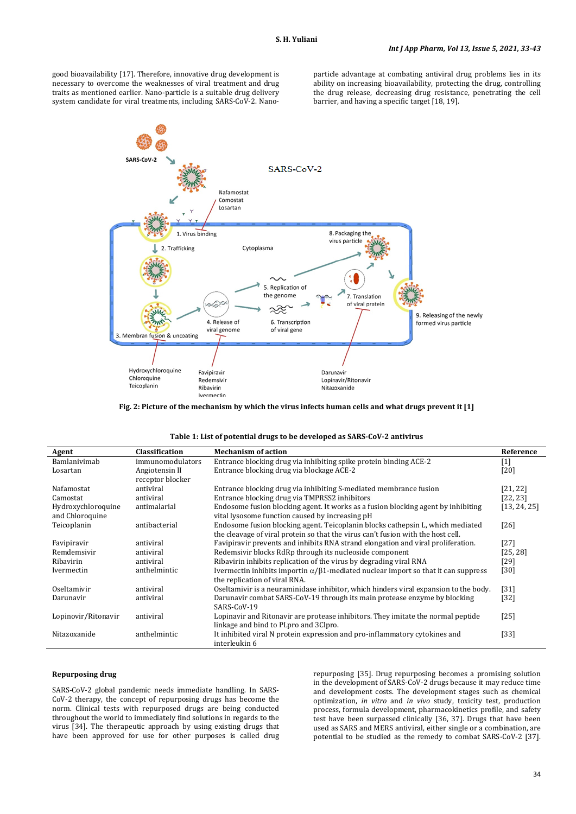good bioavailability [17]. Therefore, innovative drug development is necessary to overcome the weaknesses of viral treatment and drug traits as mentioned earlier. Nano-particle is a suitable drug delivery system candidate for viral treatments, including SARS-CoV-2. Nanoparticle advantage at combating antiviral drug problems lies in its ability on increasing bioavailability, protecting the drug, controlling the drug release, decreasing drug resistance, penetrating the cell barrier, and having a specific target [18, 19].



**Fig. 2: Picture of the mechanism by which the virus infects human cells and what drugs prevent it [1]**

| Table 1: List of potential drugs to be developed as SARS-CoV-2 antivirus |                  |                                                                                               |              |  |
|--------------------------------------------------------------------------|------------------|-----------------------------------------------------------------------------------------------|--------------|--|
| Agent                                                                    | Classification   | <b>Mechanism of action</b>                                                                    | Reference    |  |
| Bamlanivimab                                                             | immunomodulators | Entrance blocking drug via inhibiting spike protein binding ACE-2                             | $[1]$        |  |
| Losartan                                                                 | Angiotensin II   | Entrance blocking drug via blockage ACE-2                                                     | [20]         |  |
|                                                                          | receptor blocker |                                                                                               |              |  |
| Nafamostat                                                               | antiviral        | Entrance blocking drug via inhibiting S-mediated membrance fusion                             | [21, 22]     |  |
| Camostat                                                                 | antiviral        | Entrance blocking drug via TMPRSS2 inhibitors                                                 | [22, 23]     |  |
| Hydroxychloroquine                                                       | antimalarial     | Endosome fusion blocking agent. It works as a fusion blocking agent by inhibiting             | [13, 24, 25] |  |
| and Chloroquine                                                          |                  | vital lysosome function caused by increasing pH                                               |              |  |
| Teicoplanin                                                              | antibacterial    | Endosome fusion blocking agent. Teicoplanin blocks cathepsin L, which mediated                | $[26]$       |  |
|                                                                          |                  | the cleavage of viral protein so that the virus can't fusion with the host cell.              |              |  |
| Favipiravir                                                              | antiviral        | Favipiravir prevents and inhibits RNA strand elongation and viral proliferation.              | $[27]$       |  |
| Remdemsivir                                                              | antiviral        | Redemsivir blocks RdRp through its nucleoside component                                       | [25, 28]     |  |
| Ribavirin                                                                | antiviral        | Ribavirin inhibits replication of the virus by degrading viral RNA                            | [29]         |  |
| Ivermectin                                                               | anthelmintic     | Ivermectin inhibits importin $\alpha/\beta$ 1-mediated nuclear import so that it can suppress | [30]         |  |
|                                                                          |                  | the replication of viral RNA.                                                                 |              |  |
| Oseltamivir                                                              | antiviral        | Oseltamivir is a neuraminidase inhibitor, which hinders viral expansion to the body.          | $[31]$       |  |
| Darunavir                                                                | antiviral        | Darunavir combat SARS-CoV-19 through its main protease enzyme by blocking                     | $[32]$       |  |
|                                                                          |                  | SARS-CoV-19                                                                                   |              |  |
| Lopinovir/Ritonavir                                                      | antiviral        | Lopinavir and Ritonavir are protease inhibitors. They imitate the normal peptide              | $[25]$       |  |
|                                                                          |                  | linkage and bind to PLpro and 3Clpro.                                                         |              |  |
| Nitazoxanide                                                             | anthelmintic     | It inhibited viral N protein expression and pro-inflammatory cytokines and                    | [33]         |  |
|                                                                          |                  | interleukin 6                                                                                 |              |  |

# **Repurposing drug**

SARS-CoV-2 global pandemic needs immediate handling. In SARS-CoV-2 therapy, the concept of repurposing drugs has become the norm. Clinical tests with repurposed drugs are being conducted throughout the world to immediately find solutions in regards to the virus [34]. The therapeutic approach by using existing drugs that have been approved for use for other purposes is called drug repurposing [35]. Drug repurposing becomes a promising solution in the development of SARS-CoV-2 drugs because it may reduce time and development costs. The development stages such as chemical optimization, *in vitro* and *in vivo* study, toxicity test, production process, formula development, pharmacokinetics profile, and safety test have been surpassed clinically [36, 37]. Drugs that have been used as SARS and MERS antiviral, either single or a combination, are potential to be studied as the remedy to combat SARS-CoV-2 [37].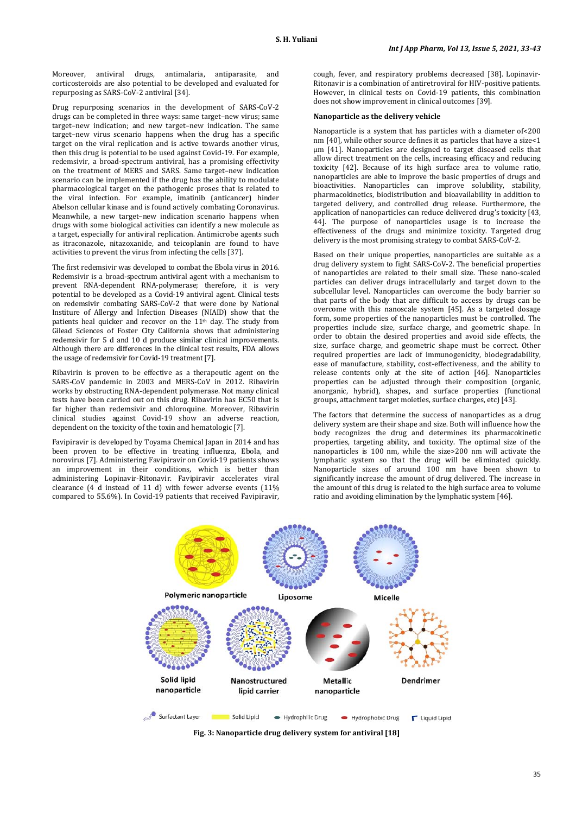Moreover, antiviral drugs, antimalaria, antiparasite, and corticosteroids are also potential to be developed and evaluated for repurposing as SARS-CoV-2 antiviral [34].

Drug repurposing scenarios in the development of SARS-CoV-2 drugs can be completed in three ways: same target–new virus; same target–new indication; and new target–new indication. The same target–new virus scenario happens when the drug has a specific target on the viral replication and is active towards another virus, then this drug is potential to be used against Covid-19. For example, redemsivir, a broad-spectrum antiviral, has a promising effectivity on the treatment of MERS and SARS. Same target–new indication scenario can be implemented if the drug has the ability to modulate pharmacological target on the pathogenic proses that is related to the viral infection. For example, imatinib (anticancer) hinder Abelson cellular kinase and is found actively combating Coronavirus. Meanwhile, a new target–new indication scenario happens when drugs with some biological activities can identify a new molecule as a target, especially for antiviral replication. Antimicrobe agents such as itraconazole, nitazoxanide, and teicoplanin are found to have activities to prevent the virus from infecting the cells [37].

The first redemsivir was developed to combat the Ebola virus in 2016. Redemsivir is a broad-spectrum antiviral agent with a mechanism to prevent RNA-dependent RNA-polymerase; therefore, it is very potential to be developed as a Covid-19 antiviral agent. Clinical tests on redemsivir combating SARS-CoV-2 that were done by National Institure of Allergy and Infection Diseases (NIAID) show that the patients heal quicker and recover on the 11<sup>th</sup> day. The study from Gilead Sciences of Foster City California shows that administering redemsivir for 5 d and 10 d produce similar clinical improvements. Although there are differences in the clinical test results, FDA allows the usage of redemsivir for Covid-19 treatment [7].

Ribavirin is proven to be effective as a therapeutic agent on the SARS-CoV pandemic in 2003 and MERS-CoV in 2012. Ribavirin works by obstructing RNA-dependent polymerase. Not many clinical tests have been carried out on this drug. Ribavirin has EC50 that is far higher than redemsivir and chloroquine. Moreover, Ribavirin clinical studies against Covid-19 show an adverse reaction, dependent on the toxicity of the toxin and hematologic [7].

Favipiravir is developed by Toyama Chemical Japan in 2014 and has been proven to be effective in treating influenza, Ebola, and norovirus [7]. Administering Favipiravir on Covid-19 patients shows an improvement in their conditions, which is better than administering Lopinavir-Ritonavir. Favipiravir accelerates viral clearance (4 d instead of 11 d) with fewer adverse events (11% compared to 55.6%). In Covid-19 patients that received Favipiravir,

cough, fever, and respiratory problems decreased [38]. Lopinavir-Ritonavir is a combination of antiretroviral for HIV-positive patients. However, in clinical tests on Covid-19 patients, this combination does not show improvement in clinical outcomes [39].

#### **Nanoparticle as the delivery vehicle**

Nanoparticle is a system that has particles with a diameter of<200 nm [40], while other source defines it as particles that have a size<1 μm [41]. Nanoparticles are designed to target diseased cells that allow direct treatment on the cells, increasing efficacy and reducing toxicity [42]. Because of its high surface area to volume ratio, nanoparticles are able to improve the basic properties of drugs and bioactivities. Nanoparticles can improve solubility, stability, pharmacokinetics, biodistribution and bioavailability in addition to targeted delivery, and controlled drug release. Furthermore, the application of nanoparticles can reduce delivered drug's toxicity [43, 44]. The purpose of nanoparticles usage is to increase the effectiveness of the drugs and minimize toxicity. Targeted drug delivery is the most promising strategy to combat SARS-CoV-2.

Based on their unique properties, nanoparticles are suitable as a drug delivery system to fight SARS-CoV-2. The beneficial properties of nanoparticles are related to their small size. These nano-scaled particles can deliver drugs intracellularly and target down to the subcellular level. Nanoparticles can overcome the body barrier so that parts of the body that are difficult to access by drugs can be overcome with this nanoscale system [45]. As a targeted dosage form, some properties of the nanoparticles must be controlled. The properties include size, surface charge, and geometric shape. In order to obtain the desired properties and avoid side effects, the size, surface charge, and geometric shape must be correct. Other required properties are lack of immunogenicity, biodegradability, ease of manufacture, stability, cost-effectiveness, and the ability to release contents only at the site of action [46]. Nanoparticles properties can be adjusted through their composition (organic, anorganic, hybrid), shapes, and surface properties (functional groups, attachment target moieties, surface charges, etc) [43].

The factors that determine the success of nanoparticles as a drug delivery system are their shape and size. Both will influence how the body recognizes the drug and determines its pharmacokinetic properties, targeting ability, and toxicity. The optimal size of the nanoparticles is 100 nm, while the size>200 nm will activate the lymphatic system so that the drug will be eliminated quickly. Nanoparticle sizes of around 100 nm have been shown to significantly increase the amount of drug delivered. The increase in the amount of this drug is related to the high surface area to volume ratio and avoiding elimination by the lymphatic system [46].



**Fig. 3: Nanoparticle drug delivery system for antiviral [18]**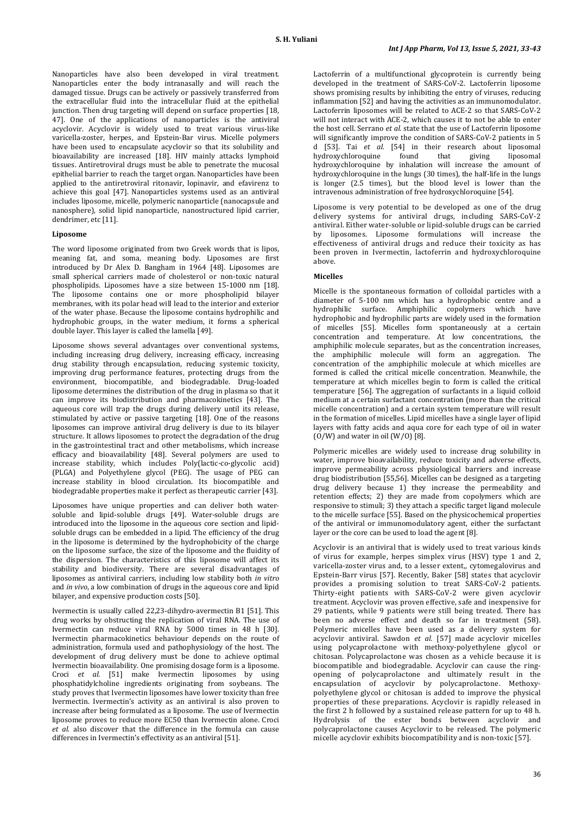Nanoparticles have also been developed in viral treatment. Nanoparticles enter the body intranasally and will reach the damaged tissue. Drugs can be actively or passively transferred from the extracellular fluid into the intracellular fluid at the epithelial junction. Then drug targeting will depend on surface properties [18, 47]. One of the applications of nanoparticles is the antiviral acyclovir. Acyclovir is widely used to treat various virus-like varicella-zoster, herpes, and Epstein-Bar virus. Micelle polymers have been used to encapsulate acyclovir so that its solubility and bioavailability are increased [18]. HIV mainly attacks lymphoid tissues. Antiretroviral drugs must be able to penetrate the mucosal epithelial barrier to reach the target organ. Nanoparticles have been applied to the antiretroviral ritonavir, lopinavir, and efavirenz to achieve this goal [47]. Nanoparticles systems used as an antiviral includes liposome, micelle, polymeric nanoparticle (nanocapsule and nanosphere), solid lipid nanoparticle, nanostructured lipid carrier, dendrimer, etc [11].

### **Liposome**

The word liposome originated from two Greek words that is lipos, meaning fat, and soma, meaning body. Liposomes are first introduced by Dr Alex D. Bangham in 1964 [48]. Liposomes are small spherical carriers made of cholesterol or non-toxic natural phospholipids. Liposomes have a size between 15-1000 nm [18]. The liposome contains one or more phospholipid bilayer membranes, with its polar head will lead to the interior and exterior of the water phase. Because the liposome contains hydrophilic and hydrophobic groups, in the water medium, it forms a spherical double layer. This layer is called the lamella [49].

Liposome shows several advantages over conventional systems, including increasing drug delivery, increasing efficacy, increasing drug stability through encapsulation, reducing systemic toxicity, improving drug performance features, protecting drugs from the environment, biocompatible, and biodegradable. Drug-loaded liposome determines the distribution of the drug in plasma so that it can improve its biodistribution and pharmacokinetics [43]. The aqueous core will trap the drugs during delivery until its release, stimulated by active or passive targeting [18]. One of the reasons liposomes can improve antiviral drug delivery is due to its bilayer structure. It allows liposomes to protect the degradation of the drug in the gastrointestinal tract and other metabolisms, which increase efficacy and bioavailability [48]. Several polymers are used to increase stability, which includes Poly(lactic-co-glycolic acid) (PLGA) and Polyethylene glycol (PEG). The usage of PEG can increase stability in blood circulation. Its biocompatible and biodegradable properties make it perfect as therapeutic carrier [43].

Liposomes have unique properties and can deliver both watersoluble and lipid-soluble drugs [49]. Water-soluble drugs are introduced into the liposome in the aqueous core section and lipidsoluble drugs can be embedded in a lipid. The efficiency of the drug in the liposome is determined by the hydrophobicity of the charge on the liposome surface, the size of the liposome and the fluidity of the dispersion. The characteristics of this liposome will affect its stability and biodiversity. There are several disadvantages of liposomes as antiviral carriers, including low stability both *in vitro* and *in vivo*, a low combination of drugs in the aqueous core and lipid bilayer, and expensive production costs [50].

Ivermectin is usually called 22,23-dihydro-avermectin B1 [51]. This drug works by obstructing the replication of viral RNA. The use of Ivermectin can reduce viral RNA by 5000 times in 48 h [30]. Ivermectin pharmacokinetics behaviour depends on the route of administration, formula used and pathophysiology of the host. The development of drug delivery must be done to achieve optimal Ivermectin bioavailability. One promising dosage form is a liposome. Croci *et al.* [51] make Ivermectin liposomes by using phosphatidylcholine ingredients originating from soybeans. The study proves that Ivermectin liposomes have lower toxicity than free Ivermectin. Ivermectin's activity as an antiviral is also proven to increase after being formulated as a liposome. The use of Ivermectin liposome proves to reduce more EC50 than Ivermectin alone. Croci *et al.* also discover that the difference in the formula can cause differences in Ivermectin's effectivity as an antiviral [51].

Lactoferrin of a multifunctional glycoprotein is currently being developed in the treatment of SARS-CoV-2. Lactoferrin liposome shows promising results by inhibiting the entry of viruses, reducing inflammation [52] and having the activities as an immunomodulator. Lactoferrin liposomes will be related to ACE-2 so that SARS-CoV-2 will not interact with ACE-2, which causes it to not be able to enter the host cell. Serrano *et al.* state that the use of Lactoferrin liposome will significantly improve the condition of SARS-CoV-2 patients in 5 d [53]. Tai *et al.* [54] in their research about liposomal hydroxychloroquine found that giving liposomal hydroxychloroquine by inhalation will increase the amount of hydroxychloroquine in the lungs (30 times), the half-life in the lungs is longer (2.5 times), but the blood level is lower than the intravenous administration of free hydroxychloroquine [54].

Liposome is very potential to be developed as one of the drug delivery systems for antiviral drugs, including SARS-CoV-2 antiviral. Either water-soluble or lipid-soluble drugs can be carried by liposomes. Liposome formulations will increase the effectiveness of antiviral drugs and reduce their toxicity as has been proven in Ivermectin, lactoferrin and hydroxychloroquine above.

### **Micelles**

Micelle is the spontaneous formation of colloidal particles with a diameter of 5-100 nm which has a hydrophobic centre and a hydrophilic surface. Amphiphilic copolymers which have hydrophobic and hydrophilic parts are widely used in the formation of micelles [55]. Micelles form spontaneously at a certain concentration and temperature. At low concentrations, the amphiphilic molecule separates, but as the concentration increases, the amphiphilic molecule will form an aggregation. The concentration of the amphiphilic molecule at which micelles are formed is called the critical micelle concentration. Meanwhile, the temperature at which micelles begin to form is called the critical temperature [56]. The aggregation of surfactants in a liquid colloid medium at a certain surfactant concentration (more than the critical micelle concentration) and a certain system temperature will result in the formation of micelles. Lipid micelles have a single layer of lipid layers with fatty acids and aqua core for each type of oil in water  $(0/W)$  and water in oil  $(W/0)$  [8].

Polymeric micelles are widely used to increase drug solubility in water, improve bioavailability, reduce toxicity and adverse effects, improve permeability across physiological barriers and increase drug biodistribution [55,56]. Micelles can be designed as a targeting drug delivery because 1) they increase the permeability and retention effects; 2) they are made from copolymers which are responsive to stimuli; 3) they attach a specific target ligand molecule to the micelle surface [55]. Based on the physicochemical properties of the antiviral or immunomodulatory agent, either the surfactant layer or the core can be used to load the agent [8].

Acyclovir is an antiviral that is widely used to treat various kinds of virus for example, herpes simplex virus (HSV) type 1 and 2, varicella-zoster virus and, to a lesser extent,, cytomegalovirus and Epstein-Barr virus [57]. Recently, Baker [58] states that acyclovir provides a promising solution to treat SARS-CoV-2 patients. Thirty-eight patients with SARS-CoV-2 were given acyclovir treatment. Acyclovir was proven effective, safe and inexpensive for 29 patients, while 9 patients were still being treated. There has been no adverse effect and death so far in treatment (58). Polymeric micelles have been used as a delivery system for acyclovir antiviral. Sawdon *et al.* [57] made acyclovir micelles using polycaprolactone with methoxy-polyethylene glycol or chitosan. Polycaprolactone was chosen as a vehicle because it is biocompatible and biodegradable. Acyclovir can cause the ringopening of polycaprolactone and ultimately result in the encapsulation of acyclovir by polycaprolactone. Methoxypolyethylene glycol or chitosan is added to improve the physical properties of these preparations. Acyclovir is rapidly released in the first 2 h followed by a sustained release pattern for up to 48 h. Hydrolysis of the ester bonds between acyclovir and polycaprolactone causes Acyclovir to be released. The polymeric micelle acyclovir exhibits biocompatibility and is non-toxic [57].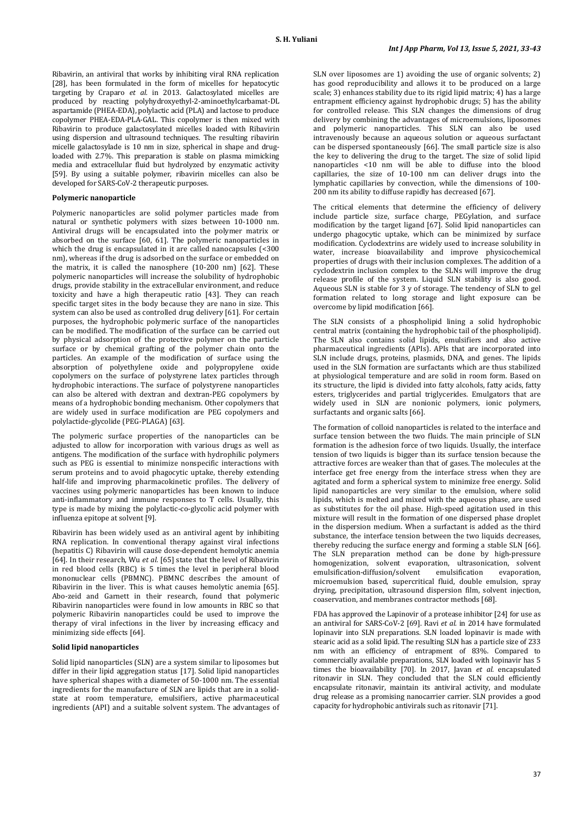Ribavirin, an antiviral that works by inhibiting viral RNA replication [28], has been formulated in the form of micelles for hepatocytic targeting by Craparo *et al.* in 2013. Galactosylated micelles are produced by reacting polyhydroxyethyl-2-aminoethylcarbamat-DL aspartamide (PHEA-EDA), polylactic acid (PLA) and lactose to produce copolymer PHEA-EDA-PLA-GAL. This copolymer is then mixed with Ribavirin to produce galactosylated micelles loaded with Ribavirin using dispersion and ultrasound techniques. The resulting ribavirin micelle galactosylade is 10 nm in size, spherical in shape and drugloaded with 2.7%. This preparation is stable on plasma mimicking media and extracellular fluid but hydrolyzed by enzymatic activity [59]. By using a suitable polymer, ribavirin micelles can also be developed for SARS-CoV-2 therapeutic purposes.

### **Polymeric nanoparticle**

Polymeric nanoparticles are solid polymer particles made from natural or synthetic polymers with sizes between 10-1000 nm. Antiviral drugs will be encapsulated into the polymer matrix or absorbed on the surface [60, 61]. The polymeric nanoparticles in which the drug is encapsulated in it are called nanocapsules (<300 nm), whereas if the drug is adsorbed on the surface or embedded on the matrix, it is called the nanosphere (10-200 nm) [62]. These polymeric nanoparticles will increase the solubility of hydrophobic drugs, provide stability in the extracellular environment, and reduce toxicity and have a high therapeutic ratio [43]. They can reach specific target sites in the body because they are nano in size. This system can also be used as controlled drug delivery [61]. For certain purposes, the hydrophobic polymeric surface of the nanoparticles can be modified. The modification of the surface can be carried out by physical adsorption of the protective polymer on the particle surface or by chemical grafting of the polymer chain onto the particles. An example of the modification of surface using the absorption of polyethylene oxide and polypropylene oxide copolymers on the surface of polystyrene latex particles through hydrophobic interactions. The surface of polystyrene nanoparticles can also be altered with dextran and dextran-PEG copolymers by means of a hydrophobic bonding mechanism. Other copolymers that are widely used in surface modification are PEG copolymers and polylactide-glycolide (PEG-PLAGA) [63].

The polymeric surface properties of the nanoparticles can be adjusted to allow for incorporation with various drugs as well as antigens. The modification of the surface with hydrophilic polymers such as PEG is essential to minimize nonspecific interactions with serum proteins and to avoid phagocytic uptake, thereby extending half-life and improving pharmacokinetic profiles. The delivery of vaccines using polymeric nanoparticles has been known to induce anti-inflammatory and immune responses to T cells. Usually, this type is made by mixing the polylactic-co-glycolic acid polymer with influenza epitope at solvent [9].

Ribavirin has been widely used as an antiviral agent by inhibiting RNA replication. In conventional therapy against viral infections (hepatitis C) Ribavirin will cause dose-dependent hemolytic anemia [64]. In their research, Wu *et al.* [65] state that the level of Ribavirin in red blood cells (RBC) is 5 times the level in peripheral blood mononuclear cells (PBMNC). PBMNC describes the amount of Ribavirin in the liver. This is what causes hemolytic anemia [65]. Abo-zeid and Garnett in their research, found that polymeric Ribavirin nanoparticles were found in low amounts in RBC so that polymeric Ribavirin nanoparticles could be used to improve the therapy of viral infections in the liver by increasing efficacy and minimizing side effects [64].

#### **Solid lipid nanoparticles**

Solid lipid nanoparticles (SLN) are a system similar to liposomes but differ in their lipid aggregation status [17]. Solid lipid nanoparticles have spherical shapes with a diameter of 50-1000 nm. The essential ingredients for the manufacture of SLN are lipids that are in a solidstate at room temperature, emulsifiers, active pharmaceutical ingredients (API) and a suitable solvent system. The advantages of

SLN over liposomes are 1) avoiding the use of organic solvents; 2) has good reproducibility and allows it to be produced on a large scale; 3) enhances stability due to its rigid lipid matrix; 4) has a large entrapment efficiency against hydrophobic drugs; 5) has the ability for controlled release. This SLN changes the dimensions of drug delivery by combining the advantages of microemulsions, liposomes and polymeric nanoparticles. This SLN can also be used intravenously because an aqueous solution or aqueous surfactant can be dispersed spontaneously [66]. The small particle size is also the key to delivering the drug to the target. The size of solid lipid nanoparticles <10 nm will be able to diffuse into the blood capillaries, the size of 10-100 nm can deliver drugs into the lymphatic capillaries by convection, while the dimensions of 100- 200 nm its ability to diffuse rapidly has decreased [67].

The critical elements that determine the efficiency of delivery include particle size, surface charge, PEGylation, and surface modification by the target ligand [67]. Solid lipid nanoparticles can undergo phagocytic uptake, which can be minimized by surface modification. Cyclodextrins are widely used to increase solubility in water, increase bioavailability and improve physicochemical properties of drugs with their inclusion complexes. The addition of a cyclodextrin inclusion complex to the SLNs will improve the drug release profile of the system. Liquid SLN stability is also good. Aqueous SLN is stable for 3 y of storage. The tendency of SLN to gel formation related to long storage and light exposure can be overcome by lipid modification [66].

The SLN consists of a phospholipid lining a solid hydrophobic central matrix (containing the hydrophobic tail of the phospholipid). The SLN also contains solid lipids, emulsifiers and also active pharmaceutical ingredients (APIs). APIs that are incorporated into SLN include drugs, proteins, plasmids, DNA, and genes. The lipids used in the SLN formation are surfactants which are thus stabilized at physiological temperature and are solid in room form. Based on its structure, the lipid is divided into fatty alcohols, fatty acids, fatty esters, triglycerides and partial triglycerides. Emulgators that are widely used in SLN are nonionic polymers, ionic polymers, surfactants and organic salts [66].

The formation of colloid nanoparticles is related to the interface and surface tension between the two fluids. The main principle of SLN formation is the adhesion force of two liquids. Usually, the interface tension of two liquids is bigger than its surface tension because the attractive forces are weaker than that of gases. The molecules at the interface get free energy from the interface stress when they are agitated and form a spherical system to minimize free energy. Solid lipid nanoparticles are very similar to the emulsion, where solid lipids, which is melted and mixed with the aqueous phase, are used as substitutes for the oil phase. High-speed agitation used in this mixture will result in the formation of one dispersed phase droplet in the dispersion medium. When a surfactant is added as the third substance, the interface tension between the two liquids decreases, thereby reducing the surface energy and forming a stable SLN [66]. The SLN preparation method can be done by high-pressure homogenization, solvent evaporation, ultrasonication, solvent emulsification-diffusion/solvent emulsification evaporation, emulsification-diffusion/solvent microemulsion based, supercritical fluid, double emulsion, spray drying, precipitation, ultrasound dispersion film, solvent injection, coaservation, and membranes contractor methods [68].

FDA has approved the Lapinovir of a protease inhibitor [24] for use as an antiviral for SARS-CoV-2 [69]. Ravi *et al.* in 2014 have formulated lopinavir into SLN preparations. SLN loaded lopinavir is made with stearic acid as a solid lipid. The resulting SLN has a particle size of 233 nm with an efficiency of entrapment of 83%. Compared to commercially available preparations, SLN loaded with lopinavir has 5 times the bioavailability [70]. In 2017, Javan *et al.* encapsulated ritonavir in SLN. They concluded that the SLN could efficiently encapsulate ritonavir, maintain its antiviral activity, and modulate drug release as a promising nanocarrier carrier. SLN provides a good capacity for hydrophobic antivirals such as ritonavir [71].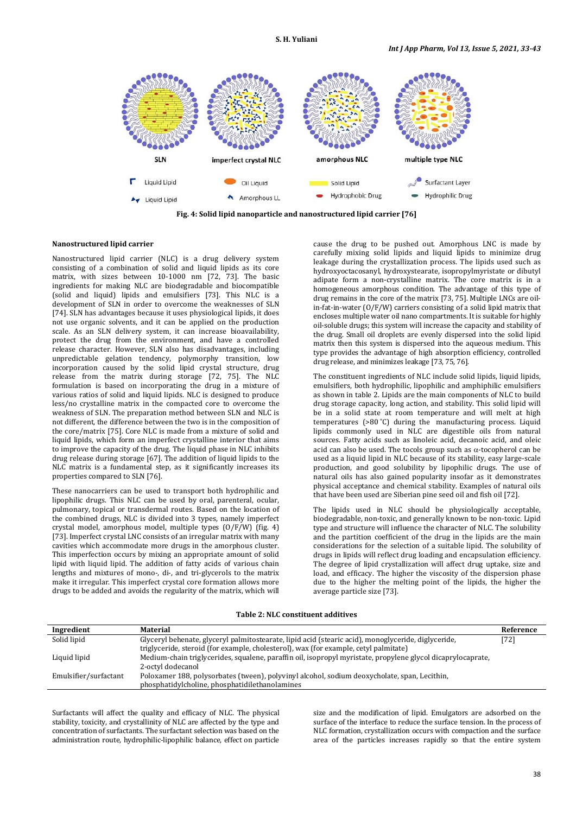

**Fig. 4: Solid lipid nanoparticle and nanostructured lipid carrier [76]**

### **Nanostructured lipid carrier**

Nanostructured lipid carrier (NLC) is a drug delivery system consisting of a combination of solid and liquid lipids as its core matrix, with sizes between 10-1000 nm [72, 73]. The basic ingredients for making NLC are biodegradable and biocompatible (solid and liquid) lipids and emulsifiers [73]. This NLC is a development of SLN in order to overcome the weaknesses of SLN [74]. SLN has advantages because it uses physiological lipids, it does not use organic solvents, and it can be applied on the production scale. As an SLN delivery system, it can increase bioavailability, protect the drug from the environment, and have a controlled release character. However, SLN also has disadvantages, including unpredictable gelation tendency, polymorphy transition, low incorporation caused by the solid lipid crystal structure, drug release from the matrix during storage [72, 75]. The NLC formulation is based on incorporating the drug in a mixture of various ratios of solid and liquid lipids. NLC is designed to produce less/no crystalline matrix in the compacted core to overcome the weakness of SLN. The preparation method between SLN and NLC is not different, the difference between the two is in the composition of the core/matrix [75]. Core NLC is made from a mixture of solid and liquid lipids, which form an imperfect crystalline interior that aims to improve the capacity of the drug. The liquid phase in NLC inhibits drug release during storage [67]. The addition of liquid lipids to the NLC matrix is a fundamental step, as it significantly increases its properties compared to SLN [76].

These nanocarriers can be used to transport both hydrophilic and lipophilic drugs. This NLC can be used by oral, parenteral, ocular, pulmonary, topical or transdermal routes. Based on the location of the combined drugs, NLC is divided into 3 types, namely imperfect crystal model, amorphous model, multiple types (O/F/W) (fig. 4) [73]. Imperfect crystal LNC consists of an irregular matrix with many cavities which accommodate more drugs in the amorphous cluster. This imperfection occurs by mixing an appropriate amount of solid lipid with liquid lipid. The addition of fatty acids of various chain lengths and mixtures of mono-, di-, and tri-glycerols to the matrix make it irregular. This imperfect crystal core formation allows more drugs to be added and avoids the regularity of the matrix, which will

cause the drug to be pushed out. Amorphous LNC is made by carefully mixing solid lipids and liquid lipids to minimize drug leakage during the crystallization process. The lipids used such as hydroxyoctacosanyl, hydroxystearate, isopropylmyristate or dibutyl adipate form a non-crystalline matrix. The core matrix is in a homogeneous amorphous condition. The advantage of this type of drug remains in the core of the matrix [73, 75]. Multiple LNCs are oilin-fat-in-water (O/F/W) carriers consisting of a solid lipid matrix that encloses multiple water oil nano compartments. It is suitable for highly oil-soluble drugs; this system will increase the capacity and stability of the drug. Small oil droplets are evenly dispersed into the solid lipid matrix then this system is dispersed into the aqueous medium. This type provides the advantage of high absorption efficiency, controlled drug release, and minimizes leakage [73, 75, 76].

The constituent ingredients of NLC include solid lipids, liquid lipids, emulsifiers, both hydrophilic, lipophilic and amphiphilic emulsifiers as shown in table 2. Lipids are the main components of NLC to build drug storage capacity, long action, and stability. This solid lipid will be in a solid state at room temperature and will melt at high temperatures (>80 ˚C) during the manufacturing process. Liquid lipids commonly used in NLC are digestible oils from natural sources. Fatty acids such as linoleic acid, decanoic acid, and oleic acid can also be used. The tocols group such as  $\alpha$ -tocopherol can be used as a liquid lipid in NLC because of its stability, easy large-scale production, and good solubility by lipophilic drugs. The use of natural oils has also gained popularity insofar as it demonstrates physical acceptance and chemical stability. Examples of natural oils that have been used are Siberian pine seed oil and fish oil [72].

The lipids used in NLC should be physiologically acceptable, biodegradable, non-toxic, and generally known to be non-toxic. Lipid type and structure will influence the character of NLC. The solubility and the partition coefficient of the drug in the lipids are the main considerations for the selection of a suitable lipid. The solubility of drugs in lipids will reflect drug loading and encapsulation efficiency. The degree of lipid crystallization will affect drug uptake, size and load, and efficacy. The higher the viscosity of the dispersion phase due to the higher the melting point of the lipids, the higher the average particle size [73].

**Table 2: NLC constituent additives**

| Ingredient            | Material                                                                                                    | Reference |
|-----------------------|-------------------------------------------------------------------------------------------------------------|-----------|
| Solid lipid           | Glyceryl behenate, glyceryl palmitostearate, lipid acid (stearic acid), monoglyceride, diglyceride,         |           |
|                       | triglyceride, steroid (for example, cholesterol), wax (for example, cetyl palmitate)                        |           |
| Liquid lipid          | Medium-chain triglycerides, squalene, paraffin oil, isopropyl myristate, propylene glycol dicaprylocaprate, |           |
|                       | 2-octyl dodecanol                                                                                           |           |
| Emulsifier/surfactant | Poloxamer 188, polysorbates (tween), polyvinyl alcohol, sodium deoxycholate, span, Lecithin,                |           |
|                       | phosphatidylcholine, phosphatidilethanolamines                                                              |           |

Surfactants will affect the quality and efficacy of NLC. The physical stability, toxicity, and crystallinity of NLC are affected by the type and concentration of surfactants. The surfactant selection was based on the administration route, hydrophilic-lipophilic balance, effect on particle size and the modification of lipid. Emulgators are adsorbed on the surface of the interface to reduce the surface tension. In the process of NLC formation, crystallization occurs with compaction and the surface area of the particles increases rapidly so that the entire system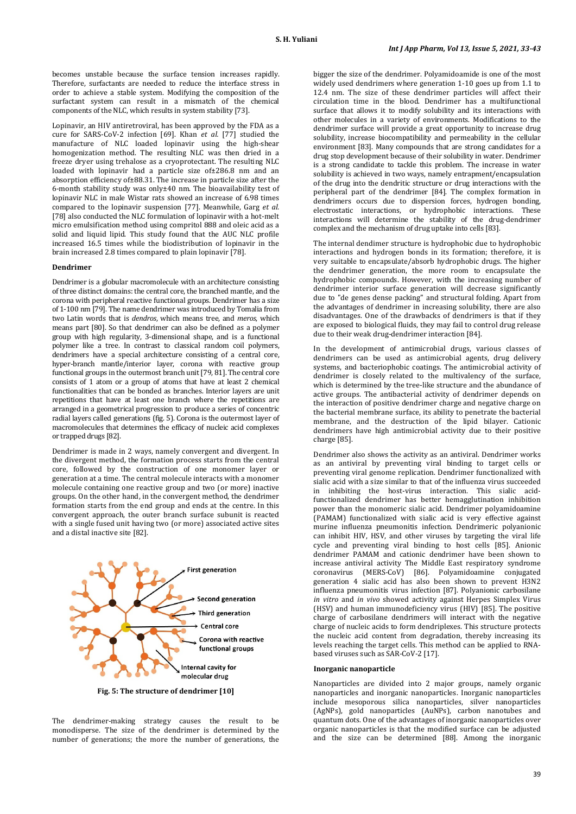becomes unstable because the surface tension increases rapidly. Therefore, surfactants are needed to reduce the interface stress in order to achieve a stable system. Modifying the composition of the surfactant system can result in a mismatch of the chemical components of the NLC, which results in system stability [73].

Lopinavir, an HIV antiretroviral, has been approved by the FDA as a cure for SARS-CoV-2 infection [69]. Khan *et al.* [77] studied the manufacture of NLC loaded lopinavir using the high-shear homogenization method. The resulting NLC was then dried in a freeze dryer using trehalose as a cryoprotectant. The resulting NLC loaded with lopinavir had a particle size of±286.8 nm and an absorption efficiency of±88.31. The increase in particle size after the 6-month stability study was only±40 nm. The bioavailability test of lopinavir NLC in male Wistar rats showed an increase of 6.98 times compared to the lopinavir suspension [77]. Meanwhile, Garg *et al.* [78] also conducted the NLC formulation of lopinavir with a hot-melt micro emulsification method using compritol 888 and oleic acid as a solid and liquid lipid. This study found that the AUC NLC profile increased 16.5 times while the biodistribution of lopinavir in the brain increased 2.8 times compared to plain lopinavir [78].

#### **Dendrimer**

Dendrimer is a globular macromolecule with an architecture consisting of three distinct domains: the central core, the branched mantle, and the corona with peripheral reactive functional groups. Dendrimer has a size of 1-100 nm [79]. The name dendrimer was introduced by Tomalia from two Latin words that is *dendros*, which means tree, and *meros*, which means part [80]. So that dendrimer can also be defined as a polymer group with high regularity, 3-dimensional shape, and is a functional polymer like a tree. In contrast to classical random coil polymers, dendrimers have a special architecture consisting of a central core, hyper-branch mantle/interior layer, corona with reactive group functional groups in the outermost branch unit [79, 81]. The central core consists of 1 atom or a group of atoms that have at least 2 chemical functionalities that can be bonded as branches. Interior layers are unit repetitions that have at least one branch where the repetitions are arranged in a geometrical progression to produce a series of concentric radial layers called generations (fig. 5). Corona is the outermost layer of macromolecules that determines the efficacy of nucleic acid complexes or trapped drugs [82].

Dendrimer is made in 2 ways, namely convergent and divergent. In the divergent method, the formation process starts from the central core, followed by the construction of one monomer layer or generation at a time. The central molecule interacts with a monomer molecule containing one reactive group and two (or more) inactive groups. On the other hand, in the convergent method, the dendrimer formation starts from the end group and ends at the centre. In this convergent approach, the outer branch surface subunit is reacted with a single fused unit having two (or more) associated active sites and a distal inactive site [82].



**Fig. 5: The structure of dendrimer [10]**

The dendrimer-making strategy causes the result to be monodisperse. The size of the dendrimer is determined by the number of generations; the more the number of generations, the bigger the size of the dendrimer. Polyamidoamide is one of the most widely used dendrimers where generation 1-10 goes up from 1.1 to 12.4 nm. The size of these dendrimer particles will affect their circulation time in the blood. Dendrimer has a multifunctional surface that allows it to modify solubility and its interactions with other molecules in a variety of environments. Modifications to the dendrimer surface will provide a great opportunity to increase drug solubility, increase biocompatibility and permeability in the cellular environment [83]. Many compounds that are strong candidates for a drug stop development because of their solubility in water. Dendrimer is a strong candidate to tackle this problem. The increase in water solubility is achieved in two ways, namely entrapment/encapsulation of the drug into the dendritic structure or drug interactions with the peripheral part of the dendrimer [84]. The complex formation in dendrimers occurs due to dispersion forces, hydrogen bonding, electrostatic interactions, or hydrophobic interactions. These interactions will determine the stability of the drug-dendrimer complex and the mechanism of drug uptake into cells [83].

The internal dendimer structure is hydrophobic due to hydrophobic interactions and hydrogen bonds in its formation; therefore, it is very suitable to encapsulate/absorb hydrophobic drugs. The higher the dendrimer generation, the more room to encapsulate the hydrophobic compounds. However, with the increasing number of dendrimer interior surface generation will decrease significantly due to "de genes dense packing" and structural folding. Apart from the advantages of dendrimer in increasing solubility, there are also disadvantages. One of the drawbacks of dendrimers is that if they are exposed to biological fluids, they may fail to control drug release due to their weak drug-dendrimer interaction [84].

In the development of antimicrobial drugs, various classes of dendrimers can be used as antimicrobial agents, drug delivery systems, and bacteriophobic coatings. The antimicrobial activity of dendrimer is closely related to the multivalency of the surface, which is determined by the tree-like structure and the abundance of active groups. The antibacterial activity of dendrimer depends on the interaction of positive dendrimer charge and negative charge on the bacterial membrane surface, its ability to penetrate the bacterial membrane, and the destruction of the lipid bilayer. Cationic dendrimers have high antimicrobial activity due to their positive charge [85].

Dendrimer also shows the activity as an antiviral. Dendrimer works as an antiviral by preventing viral binding to target cells or preventing viral genome replication. Dendrimer functionalized with sialic acid with a size similar to that of the influenza virus succeeded in inhibiting the host-virus interaction. This sialic acidfunctionalized dendrimer has better hemagglutination inhibition power than the monomeric sialic acid. Dendrimer polyamidoamine (PAMAM) functionalized with sialic acid is very effective against murine influenza pneumonitis infection. Dendrimeric polyanionic can inhibit HIV, HSV, and other viruses by targeting the viral life cycle and preventing viral binding to host cells [85]. Anionic dendrimer PAMAM and cationic dendrimer have been shown to increase antiviral activity The Middle East respiratory syndrome coronavirus (MERS-CoV) [86]. Polyamidoamine conjugated generation 4 sialic acid has also been shown to prevent H3N2 influenza pneumonitis virus infection [87]. Polyanionic carbosilane *in vitro* and *in vivo* showed activity against Herpes Simplex Virus (HSV) and human immunodeficiency virus (HIV) [85]. The positive charge of carbosilane dendrimers will interact with the negative charge of nucleic acids to form dendriplexes. This structure protects the nucleic acid content from degradation, thereby increasing its levels reaching the target cells. This method can be applied to RNAbased viruses such as SAR-CoV-2 [17].

#### **Inorganic nanoparticle**

Nanoparticles are divided into 2 major groups, namely organic nanoparticles and inorganic nanoparticles. Inorganic nanoparticles include mesoporous silica nanoparticles, silver nanoparticles (AgNPs), gold nanoparticles (AuNPs), carbon nanotubes and quantum dots. One of the advantages of inorganic nanoparticles over organic nanoparticles is that the modified surface can be adjusted and the size can be determined [88]. Among the inorganic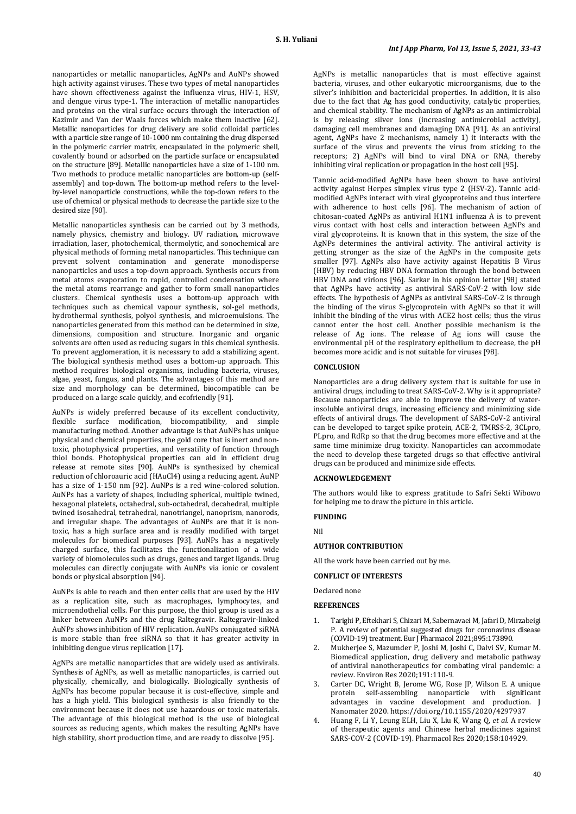nanoparticles or metallic nanoparticles, AgNPs and AuNPs showed high activity against viruses. These two types of metal nanoparticles have shown effectiveness against the influenza virus, HIV-1, HSV, and dengue virus type-1. The interaction of metallic nanoparticles and proteins on the viral surface occurs through the interaction of Kazimir and Van der Waals forces which make them inactive [62]. Metallic nanoparticles for drug delivery are solid colloidal particles with a particle size range of 10-1000 nm containing the drug dispersed in the polymeric carrier matrix, encapsulated in the polymeric shell, covalently bound or adsorbed on the particle surface or encapsulated on the structure [89]. Metallic nanoparticles have a size of 1-100 nm. Two methods to produce metallic nanoparticles are bottom-up (selfassembly) and top-down. The bottom-up method refers to the levelby-level nanoparticle constructions, while the top-down refers to the use of chemical or physical methods to decrease the particle size to the desired size [90].

Metallic nanoparticles synthesis can be carried out by 3 methods, namely physics, chemistry and biology. UV radiation, microwave irradiation, laser, photochemical, thermolytic, and sonochemical are physical methods of forming metal nanoparticles. This technique can prevent solvent contamination and generate monodisperse nanoparticles and uses a top-down approach. Synthesis occurs from metal atoms evaporation to rapid, controlled condensation where the metal atoms rearrange and gather to form small nanoparticles clusters. Chemical synthesis uses a bottom-up approach with techniques such as chemical vapour synthesis, sol-gel methods, hydrothermal synthesis, polyol synthesis, and microemulsions. The nanoparticles generated from this method can be determined in size, dimensions, composition and structure. Inorganic and organic solvents are often used as reducing sugars in this chemical synthesis. To prevent agglomeration, it is necessary to add a stabilizing agent. The biological synthesis method uses a bottom-up approach. This method requires biological organisms, including bacteria, viruses, algae, yeast, fungus, and plants. The advantages of this method are size and morphology can be determined, biocompatible can be produced on a large scale quickly, and ecofriendly [91].

AuNPs is widely preferred because of its excellent conductivity, flexible surface modification, biocompatibility, and simple manufacturing method. Another advantage is that AuNPs has unique physical and chemical properties, the gold core that is inert and nontoxic, photophysical properties, and versatility of function through thiol bonds. Photophysical properties can aid in efficient drug release at remote sites [90]. AuNPs is synthesized by chemical reduction of chloroauric acid (HAuCl4) using a reducing agent. AuNP has a size of 1-150 nm [92]. AuNPs is a red wine-colored solution. AuNPs has a variety of shapes, including spherical, multiple twined, hexagonal platelets, octahedral, sub-octahedral, decahedral, multiple twined isosahedral, tetrahedral, nanotriangel, nanoprism, nanorods, and irregular shape. The advantages of AuNPs are that it is nontoxic, has a high surface area and is readily modified with target molecules for biomedical purposes [93]. AuNPs has a negatively charged surface, this facilitates the functionalization of a wide variety of biomolecules such as drugs, genes and target ligands. Drug molecules can directly conjugate with AuNPs via ionic or covalent bonds or physical absorption [94].

AuNPs is able to reach and then enter cells that are used by the HIV as a replication site, such as macrophages, lymphocytes, and microendothelial cells. For this purpose, the thiol group is used as a linker between AuNPs and the drug Raltegravir. Raltegravir-linked AuNPs shows inhibition of HIV replication. AuNPs conjugated siRNA is more stable than free siRNA so that it has greater activity in inhibiting dengue virus replication [17].

AgNPs are metallic nanoparticles that are widely used as antivirals. Synthesis of AgNPs, as well as metallic nanoparticles, is carried out physically, chemically, and biologically. Biologically synthesis of AgNPs has become popular because it is cost-effective, simple and has a high yield. This biological synthesis is also friendly to the environment because it does not use hazardous or toxic materials. The advantage of this biological method is the use of biological sources as reducing agents, which makes the resulting AgNPs have high stability, short production time, and are ready to dissolve [95].

AgNPs is metallic nanoparticles that is most effective against bacteria, viruses, and other eukaryotic microorganisms, due to the silver's inhibition and bactericidal properties. In addition, it is also due to the fact that Ag has good conductivity, catalytic properties, and chemical stability. The mechanism of AgNPs as an antimicrobial is by releasing silver ions (increasing antimicrobial activity), damaging cell membranes and damaging DNA [91]. As an antiviral agent, AgNPs have 2 mechanisms, namely 1) it interacts with the surface of the virus and prevents the virus from sticking to the receptors; 2) AgNPs will bind to viral DNA or RNA, thereby inhibiting viral replication or propagation in the host cell [95].

Tannic acid-modified AgNPs have been shown to have antiviral activity against Herpes simplex virus type 2 (HSV-2). Tannic acidmodified AgNPs interact with viral glycoproteins and thus interfere with adherence to host cells [96]. The mechanism of action of chitosan-coated AgNPs as antiviral H1N1 influenza A is to prevent virus contact with host cells and interaction between AgNPs and viral glycoproteins. It is known that in this system, the size of the AgNPs determines the antiviral activity. The antiviral activity is getting stronger as the size of the AgNPs in the composite gets smaller [97]. AgNPs also have activity against Hepatitis B Virus (HBV) by reducing HBV DNA formation through the bond between HBV DNA and virions [96]. Sarkar in his opinion letter [98] stated that AgNPs have activity as antiviral SARS-CoV-2 with low side effects. The hypothesis of AgNPs as antiviral SARS-CoV-2 is through the binding of the virus S-glycoprotein with AgNPs so that it will inhibit the binding of the virus with ACE2 host cells; thus the virus cannot enter the host cell. Another possible mechanism is the release of Ag ions. The release of Ag ions will cause the environmental pH of the respiratory epithelium to decrease, the pH becomes more acidic and is not suitable for viruses [98].

# **CONCLUSION**

Nanoparticles are a drug delivery system that is suitable for use in antiviral drugs, including to treat SARS-CoV-2. Why is it appropriate? Because nanoparticles are able to improve the delivery of waterinsoluble antiviral drugs, increasing efficiency and minimizing side effects of antiviral drugs. The development of SARS-CoV-2 antiviral can be developed to target spike protein, ACE-2, TMRSS-2, 3CLpro, PLpro, and RdRp so that the drug becomes more effective and at the same time minimize drug toxicity. Nanoparticles can accommodate the need to develop these targeted drugs so that effective antiviral drugs can be produced and minimize side effects.

#### **ACKNOWLEDGEMENT**

The authors would like to express gratitude to Safri Sekti Wibowo for helping me to draw the picture in this article.

# **FUNDING**

Nil

# **AUTHOR CONTRIBUTION**

All the work have been carried out by me.

# **CONFLICT OF INTERESTS**

### Declared none

**REFERENCES**

- 1. Tarighi P, Eftekhari S, Chizari M, Sabernavaei M, Jafari D, Mirzabeigi P. A review of potential suggested drugs for coronavirus disease (COVID-19) treatment. Eur J Pharmacol 2021;895:173890.
- 2. Mukherjee S, Mazumder P, Joshi M, Joshi C, Dalvi SV, Kumar M. Biomedical application, drug delivery and metabolic pathway of antiviral nanotherapeutics for combating viral pandemic: a review. Environ Res 2020;191:110-9.
- 3. Carter DC, Wright B, Jerome WG, Rose JP, Wilson E. A unique protein self-assembling nanoparticle with significant advantages in vaccine development and production. J Nanomater 2020. https://doi.org/10.1155/2020/4297937
- 4. Huang F, Li Y, Leung ELH, Liu X, Liu K, Wang Q, *et al.* A review of therapeutic agents and Chinese herbal medicines against SARS-COV-2 (COVID-19). Pharmacol Res 2020;158:104929.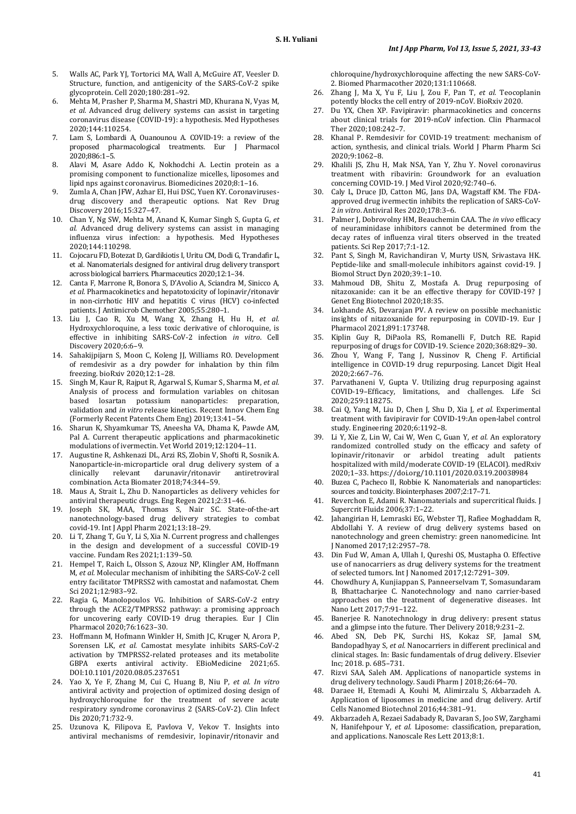- 5. Walls AC, Park YJ, Tortorici MA, Wall A, McGuire AT, Veesler D. Structure, function, and antigenicity of the SARS-CoV-2 spike glycoprotein. Cell 2020;180:281–92.
- 6. Mehta M, Prasher P, Sharma M, Shastri MD, Khurana N, Vyas M, *et al.* Advanced drug delivery systems can assist in targeting coronavirus disease (COVID-19): a hypothesis. Med Hypotheses 2020;144:110254.
- 7. Lam S, Lombardi A, Ouanounou A. COVID-19: a review of the proposed pharmacological treatments. Eur J Pharmacol 2020;886:1–5.
- 8. Alavi M, Asare Addo K, Nokhodchi A. Lectin protein as a promising component to functionalize micelles, liposomes and lipid nps against coronavirus. Biomedicines 2020;8:1–16.
- Zumla A, Chan JFW, Azhar EI, Hui DSC, Yuen KY. Coronavirusesdrug discovery and therapeutic options. Nat Rev Drug Discovery 2016;15:327–47.
- 10. Chan Y, Ng SW, Mehta M, Anand K, Kumar Singh S, Gupta G, *et al.* Advanced drug delivery systems can assist in managing influenza virus infection: a hypothesis. Med Hypotheses 2020;144:110298.
- 11. Cojocaru FD, Botezat D, Gardikiotis I, Uritu CM, Dodi G, Trandafir L, et al. Nanomaterials designed for antiviral drug delivery transport across biological barriers. Pharmaceutics 2020;12:1–34.
- 12. Canta F, Marrone R, Bonora S, D'Avolio A, Sciandra M, Sinicco A, *et al.* Pharmacokinetics and hepatotoxicity of lopinavir/ritonavir in non-cirrhotic HIV and hepatitis C virus (HCV) co-infected patients. J Antimicrob Chemother 2005;55:280–1.
- 13. Liu J, Cao R, Xu M, Wang X, Zhang H, Hu H, *et al.* Hydroxychloroquine, a less toxic derivative of chloroquine, is effective in inhibiting SARS-CoV-2 infection *in vitro*. Cell Discovery 2020;6:6–9.
- 14. Sahakijpijarn S, Moon C, Koleng JJ, Williams RO. Development of remdesivir as a dry powder for inhalation by thin film freezing. bioRxiv 2020;12:1–28.
- 15. Singh M, Kaur R, Rajput R, Agarwal S, Kumar S, Sharma M, *et al.* Analysis of process and formulation variables on chitosan based losartan potassium nanoparticles: preparation, validation and *in vitro* release kinetics. Recent Innov Chem Eng (Formerly Recent Patents Chem Eng) 2019;13:41–54.
- 16. Sharun K, Shyamkumar TS, Aneesha VA, Dhama K, Pawde AM, Pal A. Current therapeutic applications and pharmacokinetic modulations of ivermectin. Vet World 2019;12:1204–11.
- 17. Augustine R, Ashkenazi DL, Arzi RS, Zlobin V, Shofti R, Sosnik A. Nanoparticle-in-microparticle oral drug delivery system of a clinically relevant darunavir/ritonavir antiretroviral darunavir/ritonavir combination. Acta Biomater 2018;74:344–59.
- 18. Maus A, Strait L, Zhu D. Nanoparticles as delivery vehicles for antiviral therapeutic drugs. Eng Regen 2021;2:31–46.
- 19. Joseph SK, MAA, Thomas S, Nair SC. State-of-the-art nanotechnology-based drug delivery strategies to combat covid-19. Int J Appl Pharm 2021;13:18–29.
- 20. Li T, Zhang T, Gu Y, Li S, Xia N. Current progress and challenges in the design and development of a successful COVID-19 vaccine. Fundam Res 2021;1:139–50.
- 21. Hempel T, Raich L, Olsson S, Azouz NP, Klingler AM, Hoffmann M, *et al.* Molecular mechanism of inhibiting the SARS-CoV-2 cell entry facilitator TMPRSS2 with camostat and nafamostat. Chem Sci 2021;12:983–92.
- 22. Ragia G, Manolopoulos VG. Inhibition of SARS-CoV-2 entry through the ACE2/TMPRSS2 pathway: a promising approach for uncovering early COVID-19 drug therapies. Eur J Clin Pharmacol 2020;76:1623–30.
- 23. Hoffmann M, Hofmann Winkler H, Smith JC, Kruger N, Arora P, Sorensen LK, *et al.* Camostat mesylate inhibits SARS-CoV-2 activation by TMPRSS2-related proteases and its metabolite GBPA exerts antiviral activity. EBioMedicine 2021;65. DOI:10.1101/2020.08.05.237651
- 24. Yao X, Ye F, Zhang M, Cui C, Huang B, Niu P, *et al. In vitro* antiviral activity and projection of optimized dosing design of hydroxychloroquine for the treatment of severe acute respiratory syndrome coronavirus 2 (SARS-CoV-2). Clin Infect Dis 2020;71:732-9.
- 25. Uzunova K, Filipova E, Pavlova V, Vekov T. Insights into antiviral mechanisms of remdesivir, lopinavir/ritonavir and

chloroquine/hydroxychloroquine affecting the new SARS-CoV-2. Biomed Pharmacother 2020;131:110668.

- 26. Zhang J, Ma X, Yu F, Liu J, Zou F, Pan T, *et al.* Teocoplanin potently blocks the cell entry of 2019-nCoV. BioRxiv 2020.
- 27. Du YX, Chen XP. Favipiravir: pharmacokinetics and concerns about clinical trials for 2019-nCoV infection. Clin Pharmacol Ther 2020;108:242–7.
- Khanal P. Remdesivir for COVID-19 treatment: mechanism of action, synthesis, and clinical trials. World J Pharm Pharm Sci 2020;9:1062–8.
- 29. Khalili JS, Zhu H, Mak NSA, Yan Y, Zhu Y. Novel coronavirus treatment with ribavirin: Groundwork for an evaluation concerning COVID-19. J Med Virol 2020;92:740–6.
- Caly L, Druce JD, Catton MG, Jans DA, Wagstaff KM. The FDAapproved drug ivermectin inhibits the replication of SARS-CoV-2 *in vitro*. Antiviral Res 2020;178:3–6.
- 31. Palmer J, Dobrovolny HM, Beauchemin CAA. The *in vivo* efficacy of neuraminidase inhibitors cannot be determined from the decay rates of influenza viral titers observed in the treated patients. Sci Rep 2017;7:1-12.
- Pant S, Singh M, Ravichandiran V, Murty USN, Srivastava HK. Peptide-like and small-molecule inhibitors against covid-19. J Biomol Struct Dyn 2020;39:1–10.
- 33. Mahmoud DB, Shitu Z, Mostafa A. Drug repurposing of nitazoxanide: can it be an effective therapy for COVID-19? J Genet Eng Biotechnol 2020;18:35.
- 34. Lokhande AS, Devarajan PV. A review on possible mechanistic insights of nitazoxanide for repurposing in COVID-19. Eur J Pharmacol 2021;891:173748.
- 35. Kiplin Guy R, DiPaola RS, Romanelli F, Dutch RE. Rapid repurposing of drugs for COVID-19. Science 2020;368:829–30.
- 36. Zhou Y, Wang F, Tang J, Nussinov R, Cheng F. Artificial intelligence in COVID-19 drug repurposing. Lancet Digit Heal 2020;2:667–76.
- 37. Parvathaneni V, Gupta V. Utilizing drug repurposing against COVID-19–Efficacy, limitations, and challenges. Life Sci 2020;259:118275.
- 38. Cai Q, Yang M, Liu D, Chen J, Shu D, Xia J, *et al.* Experimental treatment with favipiravir for COVID-19:An open-label control study. Engineering 2020;6:1192–8.
- 39. Li Y, Xie Z, Lin W, Cai W, Wen C, Guan Y, *et al.* An exploratory randomized controlled study on the efficacy and safety of lopinavir/ritonavir or arbidol treating adult patients hospitalized with mild/moderate COVID-19 (ELACOI). medRxiv 2020;1–33. https://doi.org/10.1101/2020.03.19.20038984
- 40. Buzea C, Pacheco II, Robbie K. Nanomaterials and nanoparticles: sources and toxicity. Biointerphases 2007;2:17–71.
- 41. Reverchon E, Adami R. Nanomaterials and supercritical fluids. J Supercrit Fluids 2006;37:1–22.
- Jahangirian H, Lemraski EG, Webster TJ, Rafiee Moghaddam R, Abdollahi Y. A review of drug delivery systems based on nanotechnology and green chemistry: green nanomedicine. Int J Nanomed 2017;12:2957–78.
- 43. Din Fud W, Aman A, Ullah I, Qureshi OS, Mustapha O*.* Effective use of nanocarriers as drug delivery systems for the treatment of selected tumors. Int J Nanomed 2017;12:7291–309.
- 44. Chowdhury A, Kunjiappan S, Panneerselvam T, Somasundaram B, Bhattacharjee C. Nanotechnology and nano carrier-based approaches on the treatment of degenerative diseases. Int Nano Lett 2017;7:91–122.
- 45. Banerjee R. Nanotechnology in drug delivery: present status and a glimpse into the future. Ther Delivery 2018;9:231–2.
- 46. Abed SN, Deb PK, Surchi HS, Kokaz SF, Jamal SM, Bandopadhyay S, *et al.* Nanocarriers in different preclinical and clinical stages. In: Basic fundamentals of drug delivery. Elsevier Inc; 2018. p. 685–731.
- 47. Rizvi SAA, Saleh AM. Applications of nanoparticle systems in drug delivery technology. Saudi Pharm J 2018;26:64–70.
- 48. Daraee H, Etemadi A, Kouhi M, Alimirzalu S, Akbarzadeh A. Application of liposomes in medicine and drug delivery. Artif Cells Nanomed Biotechnol 2016;44:381–91.
- 49. Akbarzadeh A, Rezaei Sadabady R, Davaran S, Joo SW, Zarghami N, Hanifehpour Y, *et al.* Liposome: classification, preparation, and applications. Nanoscale Res Lett 2013;8:1.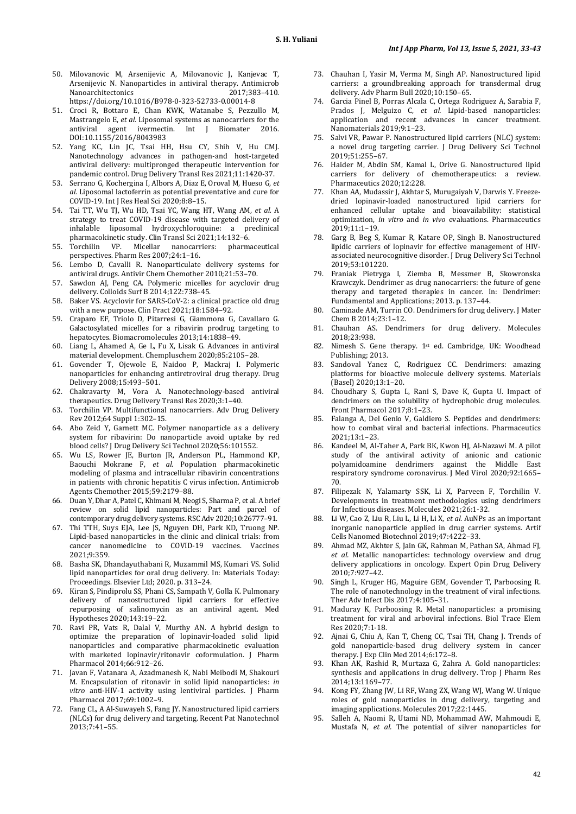- 50. Milovanovic M, Arsenijevic A, Milovanovic J, Kanjevac T, Arsenijevic N. Nanoparticles in antiviral therapy. Antimicrob Nanoarchitectonics 2017;383–410. https://doi.org/10.1016/B978-0-323-52733-0.00014-8
- 51. Croci R, Bottaro E, Chan KWK, Watanabe S, Pezzullo M, Mastrangelo E, *et al.* Liposomal systems as nanocarriers for the antiviral agent ivermecting link and Biomater 2016 antiviral agent ivermectin. Int J Biomater DOI:10.1155/2016/8043983
- 52. Yang KC, Lin JC, Tsai HH, Hsu CY, Shih V, Hu CMJ. Nanotechnology advances in pathogen-and host-targeted antiviral delivery: multipronged therapeutic intervention for pandemic control. Drug Delivery Transl Res 2021;11:1420-37.
- 53. Serrano G, Kochergina I, Albors A, Diaz E, Oroval M, Hueso G, *et al.* Liposomal lactoferrin as potential preventative and cure for COVID-19. Int J Res Heal Sci 2020;8:8–15.
- 54. Tai TT, Wu TJ, Wu HD, Tsai YC, Wang HT, Wang AM, *et al.* A strategy to treat COVID-19 disease with targeted delivery of inhalable liposomal hydroxychloroquine: a preclinical pharmacokinetic study. Clin Transl Sci 2021;14:132–6.<br>Torchilin VP. Micellar nanocarriers: pharmaceutical
- 55. Torchilin VP. Micellar nanocarriers: perspectives. Pharm Res 2007;24:1–16.
- 56. Lembo D, Cavalli R. Nanoparticulate delivery systems for antiviral drugs. Antivir Chem Chemother 2010;21:53–70.
- 57. Sawdon AJ, Peng CA. Polymeric micelles for acyclovir drug delivery. Colloids Surf B 2014;122:738–45.
- 58. Baker VS. Acyclovir for SARS-CoV-2: a clinical practice old drug with a new purpose. Clin Pract 2021;18:1584–92.
- 59. Craparo EF, Triolo D, Pitarresi G, Giammona G, Cavallaro G. Galactosylated micelles for a ribavirin prodrug targeting to hepatocytes. Biomacromolecules 2013;14:1838–49.
- 60. Liang L, Ahamed A, Ge L, Fu X, Lisak G. Advances in antiviral material development. Chempluschem 2020;85:2105–28.
- 61. Govender T, Ojewole E, Naidoo P, Mackraj I. Polymeric nanoparticles for enhancing antiretroviral drug therapy. Drug Delivery 2008;15:493–501.
- 62. Chakravarty M, Vora A. Nanotechnology-based antiviral therapeutics. Drug Delivery Transl Res 2020;3:1–40.
- 63. Torchilin VP. Multifunctional nanocarriers. Adv Drug Delivery Rev 2012;64 Suppl 1:302–15.
- 64. Abo Zeid Y, Garnett MC. Polymer nanoparticle as a delivery system for ribavirin: Do nanoparticle avoid uptake by red blood cells? J Drug Delivery Sci Technol 2020;56:101552.
- 65. Wu LS, Rower JE, Burton JR, Anderson PL, Hammond KP, Baouchi Mokrane F, *et al.* Population pharmacokinetic modeling of plasma and intracellular ribavirin concentrations in patients with chronic hepatitis C virus infection. Antimicrob Agents Chemother 2015;59:2179–88.
- 66. Duan Y, Dhar A, Patel C, Khimani M, Neogi S, Sharma P, et al. A brief review on solid lipid nanoparticles: Part and parcel of contemporary drug delivery systems. RSC Adv 2020;10:26777–91.
- 67. Thi TTH, Suys EJA, Lee JS, Nguyen DH, Park KD, Truong NP. Lipid-based nanoparticles in the clinic and clinical trials: from cancer nanomedicine to COVID-19 vaccines. Vaccines 2021;9:359.
- 68. Basha SK, Dhandayuthabani R, Muzammil MS, Kumari VS. Solid lipid nanoparticles for oral drug delivery. In: Materials Today: Proceedings. Elsevier Ltd; 2020. p. 313–24.
- 69. Kiran S, Pindiprolu SS, Phani CS, Sampath V, Golla K. Pulmonary delivery of nanostructured lipid carriers for effective repurposing of salinomycin as an antiviral agent. Med Hypotheses 2020;143:19–22.
- 70. Ravi PR, Vats R, Dalal V, Murthy AN. A hybrid design to optimize the preparation of lopinavir-loaded solid lipid nanoparticles and comparative pharmacokinetic evaluation with marketed lopinavir/ritonavir coformulation. J Pharm Pharmacol 2014;66:912–26.
- 71. Javan F, Vatanara A, Azadmanesh K, Nabi Meibodi M, Shakouri M. Encapsulation of ritonavir in solid lipid nanoparticles: *in vitro* anti-HIV-1 activity using lentiviral particles. J Pharm Pharmacol 2017;69:1002–9.
- 72. Fang CL, A Al-Suwayeh S, Fang JY. Nanostructured lipid carriers (NLCs) for drug delivery and targeting. Recent Pat Nanotechnol 2013;7:41–55.
- 73. Chauhan I, Yasir M, Verma M, Singh AP. Nanostructured lipid carriers: a groundbreaking approach for transdermal drug delivery. Adv Pharm Bull 2020;10:150–65.
- 74. Garcia Pinel B, Porras Alcala C, Ortega Rodriguez A, Sarabia F, Prados J, Melguizo C, *et al.* Lipid-based nanoparticles: application and recent advances in cancer treatment. Nanomaterials 2019;9:1–23.
- 75. Salvi VR, Pawar P. Nanostructured lipid carriers (NLC) system: a novel drug targeting carrier. J Drug Delivery Sci Technol 2019;51:255–67.
- 76. Haider M, Abdin SM, Kamal L, Orive G. Nanostructured lipid carriers for delivery of chemotherapeutics: a review. Pharmaceutics 2020;12:228.
- 77. Khan AA, Mudassir J, Akhtar S, Murugaiyah V, Darwis Y. Freezedried lopinavir-loaded nanostructured lipid carriers for enhanced cellular uptake and bioavailability: statistical optimization, *in vitro* and *in vivo* evaluations. Pharmaceutics 2019;11:1–19.
- 78. Garg B, Beg S, Kumar R, Katare OP, Singh B. Nanostructured lipidic carriers of lopinavir for effective management of HIVassociated neurocognitive disorder. J Drug Delivery Sci Technol 2019;53:101220.
- 79. Franiak Pietryga I, Ziemba B, Messmer B, Skowronska Krawczyk. Dendrimer as drug nanocarriers: the future of gene therapy and targeted therapies in cancer. In: Dendrimer: Fundamental and Applications; 2013. p. 137–44.
- 80. Caminade AM, Turrin CO. Dendrimers for drug delivery. J Mater Chem B 2014;23:1–12.
- 81. Chauhan AS. Dendrimers for drug delivery. Molecules 2018;23:938.
- 82. Nimesh S. Gene therapy. 1st ed. Cambridge, UK: Woodhead Publishing; 2013.
- 83. Sandoval Yanez C, Rodriguez CC. Dendrimers: amazing platforms for bioactive molecule delivery systems. Materials (Basel) 2020;13:1–20.
- 84. Choudhary S, Gupta L, Rani S, Dave K, Gupta U. Impact of dendrimers on the solubility of hydrophobic drug molecules. Front Pharmacol 2017;8:1–23.
- 85. Falanga A, Del Genio V, Galdiero S. Peptides and dendrimers: how to combat viral and bacterial infections. Pharmaceutics 2021;13:1–23.
- 86. Kandeel M, Al-Taher A, Park BK, Kwon HJ, Al-Nazawi M. A pilot study of the antiviral activity of anionic and cationic polyamidoamine dendrimers against the Middle East respiratory syndrome coronavirus. J Med Virol 2020;92:1665– 70.
- 87. Filipezak N, Yalamarty SSK, Li X, Parveen F, Torchilin V. Developments in treatment methodologies using dendrimers for Infectious diseases. Molecules 2021;26:1-32.
- 88. Li W, Cao Z, Liu R, Liu L, Li H, Li X, *et al.* AuNPs as an important inorganic nanoparticle applied in drug carrier systems. Artif Cells Nanomed Biotechnol 2019;47:4222–33.
- 89. Ahmad MZ, Akhter S, Jain GK, Rahman M, Pathan SA, Ahmad FJ, *et al.* Metallic nanoparticles: technology overview and drug delivery applications in oncology. Expert Opin Drug Delivery 2010;7:927–42.
- 90. Singh L, Kruger HG, Maguire GEM, Govender T, Parboosing R. The role of nanotechnology in the treatment of viral infections. Ther Adv Infect Dis 2017;4:105–31.
- 91. Maduray K, Parboosing R. Metal nanoparticles: a promising treatment for viral and arboviral infections. Biol Trace Elem Res 2020;7:1-18.
- 92. Ajnai G, Chiu A, Kan T, Cheng CC, Tsai TH, Chang J. Trends of gold nanoparticle-based drug delivery system in cancer therapy. J Exp Clin Med 2014;6:172–8.
- 93. Khan AK, Rashid R, Murtaza G, Zahra A. Gold nanoparticles: synthesis and applications in drug delivery. Trop J Pharm Res 2014;13:1169–77.
- 94. Kong FY, Zhang JW, Li RF, Wang ZX, Wang WJ, Wang W. Unique roles of gold nanoparticles in drug delivery, targeting and imaging applications. Molecules 2017;22:1445.
- 95. Salleh A, Naomi R, Utami ND, Mohammad AW, Mahmoudi E, Mustafa N, *et al.* The potential of silver nanoparticles for